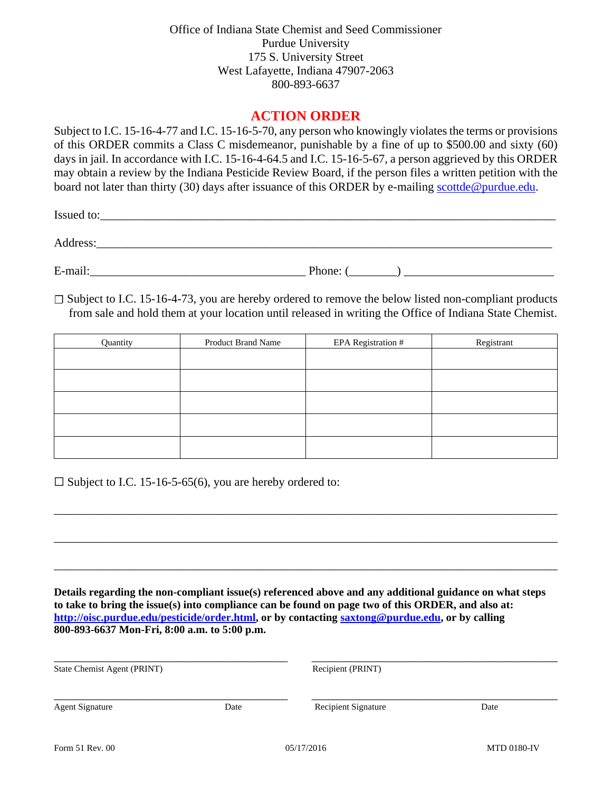Office of Indiana State Chemist and Seed Commissioner Purdue University 175 S. University Street West Lafayette, Indiana 47907-2063 800-893-6637

## **ACTION ORDER**

Subject to I.C. 15-16-4-77 and I.C. 15-16-5-70, any person who knowingly violates the terms or provisions of this ORDER commits a Class C misdemeanor, punishable by a fine of up to \$500.00 and sixty (60) days in jail. In accordance with I.C. 15-16-4-64.5 and I.C. 15-16-5-67, a person aggrieved by this ORDER may obtain a review by the Indiana Pesticide Review Board, if the person files a written petition with the board not later than thirty (30) days after issuance of this ORDER by e-mailing scottde@purdue.edu.

Issued to:

Address:\_\_\_\_\_\_\_\_\_\_\_\_\_\_\_\_\_\_\_\_\_\_\_\_\_\_\_\_\_\_\_\_\_\_\_\_\_\_\_\_\_\_\_\_\_\_\_\_\_\_\_\_\_\_\_\_\_\_\_\_\_\_\_\_\_\_\_\_\_\_\_\_\_\_\_\_

E-mail:\_\_\_\_\_\_\_\_\_\_\_\_\_\_\_\_\_\_\_\_\_\_\_\_\_\_\_\_\_\_\_\_\_\_\_\_ Phone: (\_\_\_\_\_\_\_\_) \_\_\_\_\_\_\_\_\_\_\_\_\_\_\_\_\_\_\_\_\_\_\_\_\_

 $\square$  Subject to I.C. 15-16-4-73, you are hereby ordered to remove the below listed non-compliant products from sale and hold them at your location until released in writing the Office of Indiana State Chemist.

| Quantity | <b>Product Brand Name</b> | EPA Registration # | Registrant |
|----------|---------------------------|--------------------|------------|
|          |                           |                    |            |
|          |                           |                    |            |
|          |                           |                    |            |
|          |                           |                    |            |
|          |                           |                    |            |

\_\_\_\_\_\_\_\_\_\_\_\_\_\_\_\_\_\_\_\_\_\_\_\_\_\_\_\_\_\_\_\_\_\_\_\_\_\_\_\_\_\_\_\_\_\_\_\_\_\_\_\_\_\_\_\_\_\_\_\_\_\_\_\_\_\_\_\_\_\_\_\_\_\_\_\_\_\_\_\_\_\_\_\_

\_\_\_\_\_\_\_\_\_\_\_\_\_\_\_\_\_\_\_\_\_\_\_\_\_\_\_\_\_\_\_\_\_\_\_\_\_\_\_\_\_\_\_\_\_\_\_\_\_\_\_\_\_\_\_\_\_\_\_\_\_\_\_\_\_\_\_\_\_\_\_\_\_\_\_\_\_\_\_\_\_\_\_\_

\_\_\_\_\_\_\_\_\_\_\_\_\_\_\_\_\_\_\_\_\_\_\_\_\_\_\_\_\_\_\_\_\_\_\_\_\_\_\_\_\_\_\_\_\_\_\_\_\_\_\_\_\_\_\_\_\_\_\_\_\_\_\_\_\_\_\_\_\_\_\_\_\_\_\_\_\_\_\_\_\_\_\_\_

 $\square$  Subject to I.C. 15-16-5-65(6), you are hereby ordered to:

**Details regarding the non-compliant issue(s) referenced above and any additional guidance on what steps to take to bring the issue(s) into compliance can be found on page two of this ORDER, and also at: http://oisc.purdue.edu/pesticide/order.html, or by contacting saxtong@purdue.edu, or by calling 800-893-6637 Mon-Fri, 8:00 a.m. to 5:00 p.m.** 

| State Chemist Agent (PRINT) |      | Recipient (PRINT)          |      |
|-----------------------------|------|----------------------------|------|
| <b>Agent Signature</b>      | Date | <b>Recipient Signature</b> | Date |